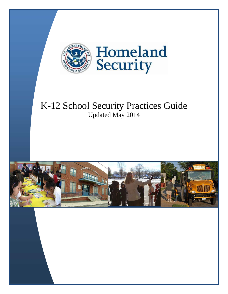

# K-12 School Security Practices Guide Updated May 2014

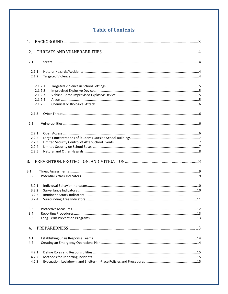# **Table of Contents**

| 1.                                        |                                                     |  |
|-------------------------------------------|-----------------------------------------------------|--|
| 2.                                        |                                                     |  |
| 2.1                                       |                                                     |  |
| 2.1.1<br>2.1.2                            |                                                     |  |
|                                           | 2.1.2.1<br>2.1.2.2<br>2.1.2.3<br>2.1.2.4<br>2.1.2.5 |  |
| 2.1.3                                     |                                                     |  |
| 2.2                                       |                                                     |  |
| 2.2.1<br>2.2.2<br>2.2.3<br>2.2.4<br>2.2.5 |                                                     |  |
| 3.                                        |                                                     |  |
| 3.1<br>3.2                                |                                                     |  |
| 3.2.1<br>3.2.2<br>3.2.3<br>3.2.4          |                                                     |  |
| 3.3<br>3.4<br>3.5                         |                                                     |  |
| 4.                                        |                                                     |  |
| 4.1<br>4.2                                |                                                     |  |
| 4.2.1<br>4.2.2<br>4.2.3                   |                                                     |  |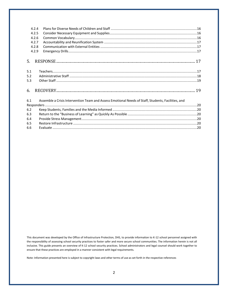|     | 4.2.4 |                                                                                                    |  |
|-----|-------|----------------------------------------------------------------------------------------------------|--|
|     | 4.2.5 |                                                                                                    |  |
|     | 4.2.6 |                                                                                                    |  |
|     | 4.2.7 |                                                                                                    |  |
|     | 4.2.8 |                                                                                                    |  |
|     | 4.2.9 |                                                                                                    |  |
| 5.  |       |                                                                                                    |  |
| 5.1 |       |                                                                                                    |  |
| 5.2 |       |                                                                                                    |  |
| 5.3 |       |                                                                                                    |  |
| 6.  |       |                                                                                                    |  |
| 6.1 |       | Assemble a Crisis Intervention Team and Assess Emotional Needs of Staff, Students, Facilities, and |  |
|     |       |                                                                                                    |  |
| 6.2 |       |                                                                                                    |  |
| 6.3 |       |                                                                                                    |  |
| 6.4 |       |                                                                                                    |  |
| 6.5 |       |                                                                                                    |  |
| 6.6 |       |                                                                                                    |  |

This document was developed by the Office of Infrastructure Protection, DHS, to provide information to K-12 school personnel assigned with the responsibility of assessing school security practices to foster safer and more secure school communities. The information herein is not all inclusive. This guide presents an overview of K-12 school security practices. School administrators and legal counsel should work together to ensure that these practices are employed in a manner consistent with legal requirements.

Note: Information presented here is subject to copyright laws and other terms of use as set forth in the respective references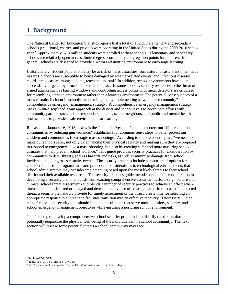# <span id="page-3-0"></span>**1. Background**

The National Center for Education Statistics reports that a total of 132,217 elementary and secondary schools (traditional, charter, and private) were operating in the United States during the 2009-2010 school year.<sup>1</sup> Approximately 52.3 million students were enrolled at these schools.<sup>2</sup> Elementary and secondary schools are relatively open-access, limited egress community congregation points for children. In general, schools are designed to provide a warm and inviting environment to encourage learning.

Unfortunately, student populations may be at risk of mass casualties from natural disasters and man-made hazards. Schools are susceptible to being damaged by weather-related events, and infectious diseases could spread easily among students, teachers, and staff. In addition, school environments have been successfully targeted by armed attackers in the past. In some schools, security responses to the threat of armed attacks such as barring windows and controlling access points with metal detectors are criticized for resembling a prison environment rather than a learning environment. The potential consequences of a mass casualty incident in schools can be mitigated by implementing a "whole of community" comprehensive emergency management strategy. A comprehensive emergency management strategy uses a multi-disciplined, team approach at the district and school levels to coordinate efforts with community partners such as first-responders, parents, school neighbors, and public and mental health professionals to provide a safe environment for learning.

Released on January 16, 2013, "Now is the Time: the President's plan to protect our children and our communities by reducing gun violence," establishes four common-sense steps to better protect our children and communities from tragic mass shootings.<sup>3</sup> According to the President's plan, "we need to make our schools safer, not only by enhancing their physical security and making sure they are prepared to respond to emergencies like a mass shooting, but also by creating safer and more nurturing school climates that help prevent school violence." This guide provides security practices for consideration by communities to deter threats, address hazards and risks, as well as minimize damage from school incidents, including mass casualty events. The security practices include a spectrum of options for consideration, from programmatic and procedural considerations to technological enhancements that school administrators may consider implementing based upon the most likely threats to their school district and their available resources. The security practices guide includes options for consideration in developing a security plan that builds from existing comprehensive assessment efforts (e.g., culture and climate, school threat assessment) and blends a number of security practices to achieve an effect where threats are either deterred or delayed and detected in advance of creating harm. In the case of a detected threat, a security plan should provide for timely assessment of the threat, create time for selecting an appropriate response to a threat and facilitate transition into an effective recovery, if necessary. To be cost effective, the security plan should implement solutions that serve multiple safety, security, and school emergency management objectives while ensuring a nurturing school environment.

The first step to develop a comprehensive school security program is to identify the threats that potentially jeopardize the physical well-being of the individuals in the school community. The next section will review some potential threats a school community may face.

 $<sup>1</sup>$  Table A-12-1, NCES</sup>

<sup>2</sup> Tables A-3-1, A-4-1, and A-5-1, NCES

 $^3$ [http://www.whitehouse.gov/sites/default/files/docs/wh\\_now\\_is\\_the\\_time\\_full.pdf](http://www.whitehouse.gov/sites/default/files/docs/wh_now_is_the_time_full.pdf)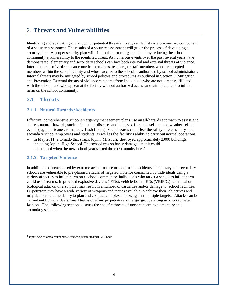# <span id="page-4-0"></span>2. **Threats and Vulnerabilities**

Identifying and evaluating any known or potential threat(s) to a given facility is a preliminary component of a security assessment. The results of a security assessment will guide the process of developing a security plan. A proper security plan will aim to deter or mitigate a threat by reducing the school community's vulnerability to the identified threat. As numerous events over the past several years have demonstrated, elementary and secondary schools can face both internal and external threats of violence. Internal threats of violence can come from students, teachers, or staff members who are accepted members within the school facility and whose access to the school is authorized by school administrators. Internal threats may be mitigated by school policies and procedures as outlined in Section 3: Mitigation and Prevention. External threats of violence can come from individuals who are not directly affiliated with the school, and who appear at the facility without authorized access and with the intent to inflict harm on the school community.

### <span id="page-4-1"></span>**2.1 Threats**

### <span id="page-4-2"></span>**2.1.1 Natural Hazards/Accidents**

Effective, comprehensive school emergency management plans use an all-hazards approach to assess and address natural hazards, such as infectious diseases and illnesses, fire, and seismic and weather-related events (e.g., hurricanes, tornadoes, flash floods). Such hazards can affect the safety of elementary and secondary school employees and students, as well as the facility's ability to carry out normal operations.

• In May 2011, a tornado that struck Joplin, Missouri, destroyed approximately 2,000 buildings, including Joplin High School. The school was so badly damaged that it could not be used when the new school year started three  $(3)$  months later.<sup>4</sup>

### <span id="page-4-3"></span>**2.1.2 Targeted Violence**

In addition to threats posed by extreme acts of nature or man-made accidents, elementary and secondary schools are vulnerable to pre-planned attacks of targeted violence committed by individuals using a variety of tactics to inflict harm on a school community. Individuals who target a school to inflict harm could use firearms; improvised explosive devices (IEDs); vehicle-borne IEDs (VBIEDs); chemical or biological attacks; or arson that may result in a number of casualties and/or damage to school facilities. Perpetrators may have a wide variety of weapons and tactics available to achieve their objectives and may demonstrate the ability to plan and conduct complex attacks against multiple targets. Attacks can be carried out by individuals, small teams of a few perpetrators, or larger groups acting in a coordinated fashion. The following sections discuss the specific threats of most concern to elementary and secondary schools.

<sup>4</sup> [http://www.colorado.edu/hazards/research/qr/submitted/paul\\_2011.pdf](http://www.colorado.edu/hazards/research/qr/submitted/paul_2011.pdf)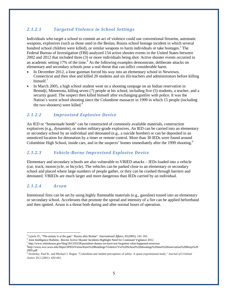### <span id="page-5-0"></span>*2.1.2.1 Targeted Violence in School Settings*

Individuals who target a school to commit an act of violence could use conventional firearms, automatic weapons, explosives (such as those used in the Beslan, Russia school hostage incident in which several hundred school children were killed), or similar weapons to harm individuals or take hostages.<sup>5</sup> The Federal Bureau of Investigation (FBI) analyzed 154 active shooter events in the United States between 2002 and 2012 that included three (3) or more individuals being shot. Active shooter events occurred in an academic setting 17% of the time.<sup>6</sup> As the following examples demonstrate, deliberate attacks on elementary and secondary schools pose a real threat that can inflict considerable harm.

- In December 2012, a lone gunman forced his way into an elementary school in Newtown, Connecticut and then shot and killed 20 students and six (6) teachers and administrators before killing himself $<sup>7</sup>$ </sup>
- In March 2005, a high school student went on a shooting rampage on an Indian reservation in Bemidji, Minnesota, killing seven (7) people at his school, including five (5) students, a teacher, and a security guard. The suspect then killed himself after exchanging gunfire with police. It was the Nation's worst school shooting since the Columbine massacre in 1999 in which 15 people (including the two shooters) were killed.<sup>8</sup>

### <span id="page-5-1"></span>*2.1.2.2 Improvised Explosive Device*

An IED or "homemade bomb" can be constructed of commonly available materials, construction explosives (e.g., dynamite), or stolen military-grade explosives. An IED can be carried into an elementary or secondary school by an individual and detonated (e.g., a suicide bomber) or can be deposited in an unnoticed location for detonation by a timer or remote control. More than 30 IEDs were found around Columbine High School, inside cars, and in the suspects' homes immediately after the 1999 shooting.<sup>9</sup>

### <span id="page-5-2"></span>*2.1.2.3 Vehicle-Borne Improvised Explosive Device*

Elementary and secondary schools are also vulnerable to VBIED attacks – IEDs loaded into a vehicle (car, truck, motorcycle, or bicycle). The vehicles can be parked close to an elementary or secondary school and placed where large numbers of people gather, or they can be crashed through barriers and detonated. VBIEDs are much larger and more dangerous than IEDs carried by an individual.

### <span id="page-5-3"></span>*2.1.2.4 Arson*

Intentional fires can be set by using highly flammable materials (e.g., gasoline) tossed into an elementary or secondary school. Accelerants that promote the spread and intensity of a fire can be applied beforehand and then ignited. Arson is a threat both during and after normal hours of operation.

<sup>7</sup> <http://www.whitehouse.gov/blog/2013/03/28/president-obama-we-have-not-forgotten-what-happened-newtown>

<sup>5</sup> Lynch, D., "The enemy is at the gate': Russia after Beslan". *International Affairs*, 81(2005): 141–161.

<sup>6</sup> Joint Intelligence Bulletin– Recent Active Shooter Incidents Highlight Need for Continued Vigilance 2012

<sup>8</sup> [http://www.wce.wwu.edu/Depts/SPED/Forms/Kens%20Readings/Violence/Vio%20School%20shootings%20stun%20reservation%20Borja%20](http://www.wce.wwu.edu/Depts/SPED/Forms/Kens%20Readings/Violence/Vio%20School%20shootings%20stun%20reservation%20Borja) 2005.pdf

<sup>9</sup> Stretesky, Paul B., and Michael J. Hogan. "Columbine and student perceptions of safety: A quasi-experimental study." *Journal of Criminal Justice* 29.5 (2001): 429-443.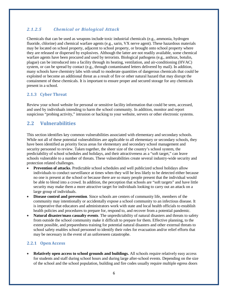### <span id="page-6-0"></span>*2.1.2.5 Chemical or Biological Attack*

Chemicals that can be used as weapons include toxic industrial chemicals (e.g., ammonia, hydrogen fluoride, chlorine) and chemical warfare agents (e.g., sarin, VX nerve agent). These hazardous materials may be located on school property, adjacent to school property, or brought onto school property where they are released or dispersed by explosives. Although the latter are not readily available, some chemical warfare agents have been procured and used by terrorists. Biological pathogens (e.g., anthrax, botulin, plague) can be introduced into a facility through its heating, ventilation, and air-conditioning (HVAC) system, or can be spread by contact (e.g., through contaminated letters delivered by mail). In addition, many schools have chemistry labs with small to moderate quantities of dangerous chemicals that could be exploited or become an additional threat as a result of fire or other natural hazard that may disrupt the containment of these chemicals. It is important to ensure proper and secured storage for any chemicals present in a school.

### <span id="page-6-1"></span>**2.1.3 Cyber Threat**

Review your school website for personal or sensitive facility information that could be seen, accessed, and used by individuals intending to harm the school community. In addition, monitor and report suspicious "probing activity," intrusion or hacking to your website, servers or other electronic systems.

### <span id="page-6-2"></span>**2.2 Vulnerabilities**

This section identifies key common vulnerabilities associated with elementary and secondary schools. While not all of these potential vulnerabilities are applicable to all elementary or secondary schools, they have been identified as priority focus areas for elementary and secondary school management and security personnel to review. Taken together, the sheer size of the country's school system, the predictability of school schedules and holidays, and their attractiveness as a "soft target," can leave schools vulnerable to a number of threats. These vulnerabilities create several industry-wide security and protection related challenges.

- **Prevention of attacks.** Predictable school schedules and well publicized school holidays allow individuals to conduct surveillance at times when they will be less likely to be detected either because no one is present at the school or because there are so many people present that the individual would be able to blend into a crowd. In addition, the perception that schools are "soft targets" and have little security may make them a more attractive target for individuals looking to carry out an attack on a large group of individuals.
- **Disease control and prevention**. Since schools are centers of community life, members of the community may intentionally or accidentally expose a school community to an infectious disease. It is imperative that educators and administrators work with state and local health officials to establish health policies and procedures to prepare for, respond to, and recover from a potential pandemic.
- **Natural disaster/mass casualty events**. The unpredictability of natural disasters and threats to safety from outside the school community make it difficult to prepare for them. Effective planning, to the extent possible, and preparedness training for potential natural disasters and other external threats to school safety enables school personnel to identify their roles for evacuation and/or relief efforts that may be necessary in the event of an unforeseen catastrophe.

### <span id="page-6-3"></span>**2.2.1 Open Access**

• **Relatively open access to school grounds and buildings.** All schools require relatively easy access for students and staff during school hours and during large after-school events. Depending on the size of the school and the school population, building and fire codes usually require multiple egress doors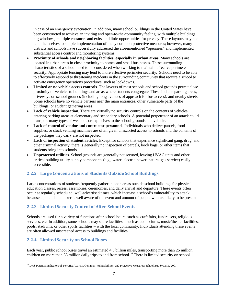in case of an emergency evacuation. In addition, many school buildings in the United States have been constructed to achieve an inviting and open-to-the-community feeling, with multiple buildings, big windows, multiple entrances and exits, and little opportunities for privacy. These layouts may not lend themselves to simple implementation of many common protective measures; however, many districts and schools have successfully addressed the aforementioned "openness" and implemented substantial access control and monitoring systems.

- **Proximity of schools and neighboring facilities, especially in urban areas***.* Many schools are located in urban areas in close proximity to homes and small businesses. These surrounding characteristics of a school need to be considered when working to maintain effective perimeter security. Appropriate fencing may lend to more effective perimeter security. Schools need to be able to effectively respond to threatening incidents in the surrounding community that require a school to activate emergency operations procedures, such as lockdowns.
- **Limited or no vehicle access controls***.* The layouts of most schools and school grounds permit close proximity of vehicles to buildings and areas where students congregate. These include parking areas, driveways on school grounds (including long avenues of approach for bus access), and nearby streets. Some schools have no vehicle barriers near the main entrances, other vulnerable parts of the buildings, or student gathering areas.
- **Lack of vehicle inspection***.* There are virtually no security controls on the contents of vehicles entering parking areas at elementary and secondary schools. A potential perpetrator of an attack could transport many types of weapons or explosives to the school grounds in a vehicle.
- **Lack of control of vendor and contractor personnel.** Individuals who deliver parcels, food supplies, or stock vending machines are often given unescorted access to schools and the contents of the packages they carry are not inspected.
- **Lack of inspection of student articles.** Except for schools that experience significant gang, drug, and other criminal activity, there is generally no inspection of parcels, book bags, or other items that students bring into schools.
- **Unprotected utilities.** School grounds are generally not secured, leaving HVAC units and other critical building utility supply components (e.g., water, electric power, natural gas service) easily accessible.

### <span id="page-7-0"></span>**2.2.2 Large Concentrations of Students Outside School Buildings**

Large concentrations of students frequently gather in open areas outside school buildings for physical education classes, recess, assemblies, ceremonies, and daily arrival and departure. These events often occur at regularly scheduled, well-advertised times, which increase a school's vulnerability to attack because a potential attacker is well aware of the event and amount of people who are likely to be present.

### <span id="page-7-1"></span>**2.2.3 Limited Security Control of After-School Events**

Schools are used for a variety of functions after school hours, such as craft fairs, fundraisers, religious services, etc. In addition, some schools may share facilities – such as auditoriums, music/theater facilities, pools, stadiums, or other sports facilities – with the local community. Individuals attending these events are often allowed unscreened access to buildings and facilities.

### <span id="page-7-2"></span>**2.2.4 Limited Security on School Buses**

Each year, public school buses travel an estimated 4.3 billion miles, transporting more than 25 million children on more than 55 million daily trips to and from school.<sup>10</sup> There is limited security on school

<sup>&</sup>lt;sup>10</sup> DHS Potential Indicators of Terrorist Activity, Common Vulnerabilities, and Protective Measures: School Bus Systems, 2007.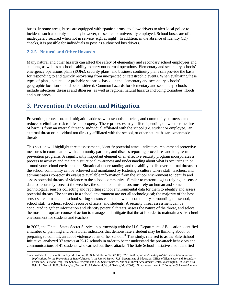buses. In some areas, buses are equipped with "panic alarms" to allow drivers to alert local police to incidents such as unruly students; however, these are not universally employed. School buses are often inadequately secured when not in service (e.g., at night). In addition, in the absence of identity (ID) checks, it is possible for individuals to pose as authorized bus drivers.

### <span id="page-8-0"></span>**2.2.5 Natural and Other Hazards**

Many natural and other hazards can affect the safety of elementary and secondary school employees and students, as well as a school's ability to carry out normal operations. Elementary and secondary schools' emergency operations plans (EOPs), security plans, and business continuity plans can provide the basis for responding to and quickly recovering from unexpected or catastrophic events. When evaluating these types of plans, potential or probable scenarios based on the elementary and secondary schools' geographic location should be considered. Common hazards for elementary and secondary schools include infectious diseases and illnesses, as well as regional natural hazards including tornadoes, floods, and hurricanes.

# 3. **Prevention, Protection, and Mitigation**

Prevention, protection, and mitigation address what schools, districts, and community partners can do to reduce or eliminate risk to life and property. These processes may differ depending on whether the threat of harm is from an internal threat or individual affiliated with the school (i.e. student or employee), an external threat or individual not directly affiliated with the school, or other natural hazards/manmade threats.

This section will highlight threat assessments, identify potential attack indicators, recommend protective measures in coordination with community partners, and discuss reporting procedures and long-term prevention programs. A significantly important element of an effective security program incorporates a process to achieve and maintain situational awareness and understanding about what is occurring in or around your school environment. Situational understanding and the ability to discover internal threats to the school community can be achieved and maintained by fostering a culture where staff, teachers, and administrators consciously evaluate available information from the school environment to identify and assess potential threats of violence to the school community. Similar to meteorologists relying on sensor data to accurately forecast the weather, the school administrators must rely on human and some technological sensors collecting and reporting school environmental data for them to identify and assess potential threats. The sensors in a school environment are not all technological; the majority of the best sensors are humans. In a school setting sensors can be the whole community surrounding the school, school staff, teachers, school resource officers, and students. A security threat assessment can be conducted to gather information and identify potential threats, assess the nature of the threat, and select the most appropriate course of action to manage and mitigate that threat in order to maintain a safe school environment for students and teachers.

In 2002, the United States Secret Service in partnership with the U.S. Department of Education identified a number of planning and behavioral indicators that demonstrate a student may be thinking about, or preparing to commit, an act of violence at his or her school.<sup>11</sup> This study, referred to as the Safe School Initiative, analyzed 37 attacks at K-12 schools in order to better understand the pre-attack behaviors and communications of 41 students who carried out these attacks. The Safe School Initiative also identified

<sup>11</sup> *See* Vossekuil, B., Fein, R., Reddy, M., Borum, R., & Modzeleski, W. (2002). *The Final Report and Findings of the Safe School Initiative: Implications for the Prevention of School Attacks in the United States*. U.S. Department of Education, Office of Elementary and Secondary Education, Safe and Drug-Free Schools Program and U.S. Secret Service, National Threat Assessment Center, Washington, D.C.; *see also* Fein, R., Vossekuil, B., Pollack, W., Borum, R., Modzeleski, W., & Reddy, M. (2002). *Threat Assessment in Schools: A Guide to Managing*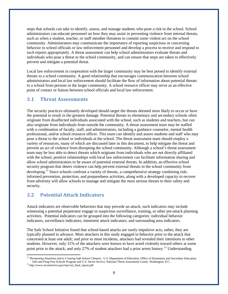steps that schools can take to identify, assess, and manage students who pose a risk to the school. School administrators can educate personnel on how they may assist in preventing violence from internal threats, such as when a student, teacher, or staff member threatens to commit some violent act on the school community. Administrators may communicate the importance of reporting suspicious or concerning behavior to school officials or law enforcement personnel and develop a process to receive and respond to such reports appropriately. A threat assessment can help school administrators evaluate threats and individuals who pose a threat to the school community, and can ensure that steps are taken to effectively prevent and mitigate a potential threat.

Local law enforcement in cooperation with the larger community may be best poised to identify external threats to a school community. A good relationship that encourages communication between school administrators and local law enforcement should facilitate the flow of information about potential threats to a school from persons in the larger community. A school resource officer may serve as an effective point of contact or liaison between school officials and local law enforcement.

### <span id="page-9-0"></span>**3.1 Threat Assessments**

The security practices ultimately developed should target the threats deemed most likely to occur or have the potential to result in the greatest damage. Potential threats to elementary and secondary schools often originate from disaffected individuals associated with the school, such as students and teachers, but can also originate from individuals from outside the community. A threat assessment team may be staffed with a combination of faculty, staff, and administrators, including a guidance counselor, mental health professional, and/or school resource officer. This team can identify and assess students and staff who may pose a threat to the school or individuals at the school. The threat assessment team should employ a variety of resources, many of which are discussed later in this document, to help mitigate the threat and prevent an act of violence from disrupting the school community. Although a school's threat assessment team may be less able to detect threats which originate from individuals who are not directly affiliated with the school, positive relationships with local law enforcement can facilitate information sharing and allow school administrators to be aware of potential external threats. In addition, an effective school security program that deters violence can help prevent external threats to the school community from developing.<sup>12</sup> Since schools confront a variety of threats, a comprehensive strategy combining riskinformed prevention, protection, and preparedness activities, along with a developed capacity to recover from adversity will allow schools to manage and mitigate the most serious threats to their safety and security.

### <span id="page-9-1"></span>**3.2 Potential Attack Indicators**

Attack indicators are observable behaviors that may precede an attack; such indicators may include witnessing a potential perpetrator engage in suspicious surveillance, training, or other pre-attack planning activities. Potential indicators can be grouped into the following categories: individual behavior indicators, surveillance indicators, imminent attack indicators, and surrounding area indicators.

The Safe School Initiative found that school-based attacks are rarely impulsive acts; rather, they are typically planned in advance. Most attackers in this study engaged in behavior prior to the attack that concerned at least one adult; and prior to most incidents, attackers had revealed their intentions to other students. However, only 31% of the attackers were known to have acted violently toward others at some point prior to the attack; and only 27% of student attackers had a prior arrest history.<sup>13</sup> Understanding

<sup>&</sup>lt;sup>12</sup> *Threatening Situations and to Creating Safe School Climates*. U.S. Department of Education, Office of Elementary and Secondary Education, Safe and Drug-Free Schools Program and U.S. Secret Service, National Threat Assessment Center, Washington, D.C.

<sup>13</sup> [http://www.secretservice.gov/ntac/ssi\\_final\\_report.pdf](http://www.secretservice.gov/ntac/ssi_final_report.pdf)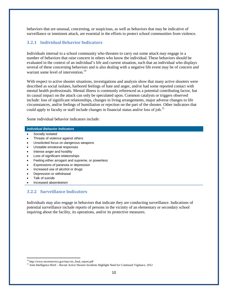behaviors that are unusual, concerning, or suspicious, as well as behaviors that may be indicative of surveillance or imminent attack, are essential in the efforts to protect school communities from violence.

#### <span id="page-10-0"></span>**3.2.1 Individual Behavior Indicators**

Individuals internal to a school community who threaten to carry out some attack may engage in a number of behaviors that raise concern in others who know the individual. These behaviors should be evaluated in the context of an individual's life and current situation, such that an individual who displays several of these concerning behaviors and is also dealing with a negative life event may be of concern and warrant some level of intervention.<sup>14</sup>

With respect to active shooter situations, investigations and analysis show that many active shooters were described as social isolates, harbored feelings of hate and anger, and/or had some reported contact with mental health professionals. Mental illness is commonly referenced as a potential contributing factor, but its causal impact on the attack can only be speculated upon. Common catalysts or triggers observed include: loss of significant relationships, changes in living arrangements, major adverse changes to life circumstances, and/or feelings of humiliation or rejection on the part of the shooter. Other indicators that could apply to faculty or staff include changes in financial status and/or loss of job.<sup>15</sup>

Some individual behavior indicators include:

#### *Individual Behavior Indicators*

- Socially isolated
- Threats of violence against others
- Unsolicited focus on dangerous weapons
- Unstable emotional responses
- Intense anger and hostility
- Loss of significant relationships
- Feeling either arrogant and supreme, or powerless
- Expressions of paranoia or depression
- Increased use of alcohol or drugs
- Depression or withdrawal
- Talk of suicide
- Increased absenteeism

#### <span id="page-10-1"></span>**3.2.2 Surveillance Indicators**

Individuals may also engage in behaviors that indicate they are conducting surveillance. Indications of potential surveillance include reports of persons in the vicinity of an elementary or secondary school inquiring about the facility, its operations, and/or its protective measures.

<sup>14</sup> [http://www.secretservice.gov/ntac/ssi\\_final\\_report.pdf](http://www.secretservice.gov/ntac/ssi_final_report.pdf)

<sup>&</sup>lt;sup>15</sup> Joint Intelligence Brief – Recent Active Shooter Incidents Highlight Need for Continued Vigilance, 2012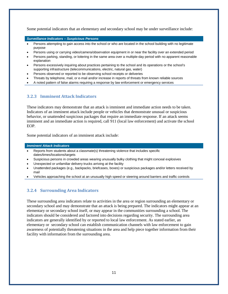Some potential indicators that an elementary and secondary school may be under surveillance include:

*Surveillance Indicators – Suspicious Persons*

- Persons attempting to gain access into the school or who are located in the school building with no legitimate purpose
- Persons using or carrying video/camera/observation equipment in or near the facility over an extended period
- Persons parking, standing, or loitering in the same area over a multiple-day period with no apparent reasonable explanation
- Persons excessively inquiring about practices pertaining to the school and its operations or the school's supporting infrastructure (telecommunications, electric, natural gas, water)
- Persons observed or reported to be observing school receipts or deliveries
- Threats by telephone, mail, or e-mail and/or increase in reports of threats from known reliable sources
- A noted pattern of false alarms requiring a response by law enforcement or emergency services

#### <span id="page-11-0"></span>**3.2.3 Imminent Attack Indicators**

These indicators may demonstrate that an attack is imminent and immediate action needs to be taken. Indicators of an imminent attack include people or vehicles that demonstrate unusual or suspicious behavior, or unattended suspicious packages that require an immediate response. If an attack seems imminent and an immediate action is required, call 911 (local law enforcement) and activate the school EOP.

Some potential indicators of an imminent attack include:

#### *Imminent Attack Indicators*

- Reports from students about a classmate(s) threatening violence that includes specific dates/times/locations/targets
- Suspicious persons in crowded areas wearing unusually bulky clothing that might conceal explosives
- Unexpected or unfamiliar delivery trucks arriving at the facility
- Unattended packages (e.g., backpacks, briefcases, boxes) or suspicious packages and/or letters received by mail
- Vehicles approaching the school at an unusually high speed or steering around barriers and traffic controls

### <span id="page-11-1"></span>**3.2.4 Surrounding Area Indicators**

These surrounding area indicators relate to activities in the area or region surrounding an elementary or secondary school and may demonstrate that an attack is being prepared. The indicators might appear at an elementary or secondary school itself, or may appear in the communities surrounding a school. The indicators should be considered and factored into decisions regarding security. The surrounding area indicators are generally identified by or reported to local law enforcement. As stated earlier, an elementary or secondary school can establish communication channels with law enforcement to gain awareness of potentially threatening situations in the area and help piece together information from their facility with information from the surrounding area.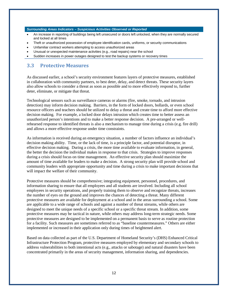#### *Surrounding Areas Indicators – Suspicious Activities Observed or Reported*

- An increase in reporting of buildings being left unsecured or doors left unlocked, when they are normally secured and locked at all times
- Theft or unauthorized possession of employee identification cards, uniforms, or security communications
- Unfamiliar contract workers attempting to access unauthorized areas
- Unusual or unexpected maintenance activities (e.g., road repairs) near the school
- Sudden increases in power outages designed to test the backup systems or recovery times

### <span id="page-12-0"></span>**3.3 Protective Measures**

As discussed earlier, a school's security environment features layers of protective measures, established in collaboration with community partners, to best deter, delay, and detect threats. These security layers also allow schools to consider a threat as soon as possible and to more effectively respond to, further deter, eliminate, or mitigate that threat.

Technological sensors such as surveillance cameras or alarms (fire, smoke, tornado, and intrusion detection) may inform decision making. Barriers, in the form of locked doors, bollards, or even school resource officers and teachers should be utilized to delay a threat and create time to afford more effective decision making. For example, a locked door delays intrusion which creates time to better assess an unauthorized person's intentions and to make a better response decision. A pre-arranged or wellrehearsed response to identified threats is also a mechanism to manage time during a crisis (e.g. fire drill) and allows a more effective response under time constraints.

As information is received during an emergency situation, a number of factors influence an individual's decision making ability. Time, or the lack of time, is a principle factor, and potential disruptor, in effective decision making. During a crisis, the more time available to evaluate information, in general, the better the decision the individual makes in response to that crisis. Strategies to improve responses during a crisis should focus on time management. An effective security plan should maximize the amount of time available for leaders to make a decision. A strong security plan will provide school and community leaders with appropriate opportunity and time during a crisis to make important decisions that will impact the welfare of their community.

Protective measures should be comprehensive; integrating equipment, personnel, procedures, and information sharing to ensure that all employees and all students are involved. Including all school employees in security operations, and properly training them to observe and recognize threats, increases the number of eyes on the ground and improves the chances of detecting a threat. Many different protective measures are available for deployment at a school and in the areas surrounding a school. Some are applicable to a wide range of schools and against a number of threat streams, while others are designed to meet the unique needs of a specific school or a specific threat stream. In addition, some protective measures may be tactical in nature, while others may address long-term strategic needs. Some protective measures are designed to be implemented on a permanent basis to serve as routine protection for a facility. Such measures are sometimes referred to as "baseline countermeasures." Others are either implemented or increased in their application only during times of heightened alert.

Based on data collected as part of the U.S. Department of Homeland Security's (DHS) Enhanced Critical Infrastructure Protection Program, protective measures employed by elementary and secondary schools to address vulnerabilities to both intentional acts (e.g., attacks or sabotage) and natural disasters have been concentrated primarily in the areas of security management, information sharing, and dependencies.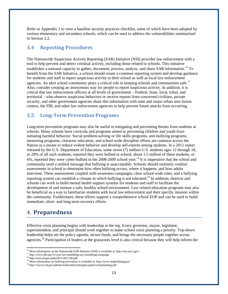Refer to Appendix 1 to view a baseline security practices checklist, some of which have been adopted by various elementary and secondary schools, which can be used to address the vulnerabilities summarized in Section 2.2.

### <span id="page-13-0"></span>**3.4 Reporting Procedures**

The Nationwide Suspicious Activity Reporting (SAR) Initiative (NSI) provides law enforcement with a tool to help prevent and detect criminal activity, including those related to schools. This initiative establishes a national capacity to gather, document, process, analyze, and share SAR information.<sup>16</sup> To benefit from the SAR Initiative, a school should create a common reporting system and develop guidance for students and staff to report suspicious activity to their school as well as local law enforcement agencies. An alert school community plays a critical role in keeping schools and communities safe.<sup>17</sup> Also, consider creating an anonymous way for people to report suspicious activity. In addition, it is critical that law enforcement officers at all levels of government – Federal, State, local, tribal, and territorial – who observe suspicious behaviors or receive reports from concerned civilians, private security, and other government agencies share this information with state and major urban area fusion centers, the FBI, and other law enforcement agencies to help prevent future attacks from occurring.

## <span id="page-13-1"></span>**3.5 Long-Term Prevention Programs**

Long-term prevention programs may also be useful in mitigating and preventing threats from students at schools. Many schools have curricula and programs aimed at preventing children and youth from initiating harmful behavior. Social problem-solving or life skills programs, anti-bullying programs, mentoring programs, character education, and school-wide discipline efforts are common across the Nation as a means to reduce violent behavior and develop self-esteem among students. In a 2011 report released by the U.S. Department of Education, some seven (7) million U.S. students ages 12 through 18, or 28% of all such students, reported they were bullied at school; about 1.5 million of these students, or 6%, reported they were cyber-bullied in the 2008-2009 school year.<sup>18</sup> It is imperative that the school and community send a unified message that bullying is unacceptable. Schools should routinely conduct assessments in school to determine how often bullying occurs, where it happens, and how adults intervene. These assessments coupled with awareness campaigns, clear school-wide rules, and a bullying reporting system can establish a climate in which bullying is not tolerated.<sup>19</sup> In addition, districts and schools can work to build mental health support systems for students and staff to facilitate the development of and nurture a safe, healthy school environment. Law related education programs may also be beneficial as a way to familiarize students with local law enforcement and their specific mission within the community. Furthermore, these efforts support a comprehensive school EOP and can be used to build immediate, short- and long-term recovery efforts.

# <span id="page-13-2"></span>4. **Preparedness**

Effective crisis planning begins with leadership at the top. Every governor, mayor, legislator, superintendent, and principal should work together to make school crisis planning a priority. Top-down leadership helps set the policy agenda, secure funds, and brings the necessary people together across agencies.<sup>20</sup> Participation of leaders at the grassroots level is also critical because they will help inform the

<sup>&</sup>lt;sup>16</sup> More information on the Nationwide SAR Initiative (NSI) is available at: <http://nsi.ncirc.gov/><br><sup>17</sup> <http://www.dhs.gov/if-you-see-something-say-something-campaign><br><sup>18</sup> http://nces.ed.gov/pubs2011/2011336.pdf

<sup>&</sup>lt;sup>19</sup> More information on bullying prevention is available at: <http://www.stopbullying.gov/>

 $^{20}$ <http://www2.ed.gov/admins/lead/safety/emergencyplan/crisisplanning.pdf>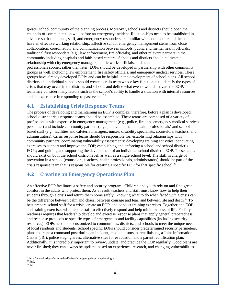greater school community of the planning process. Moreover, schools and districts should open the channels of communication well before an emergency incident. Relationships need to be established in advance so that students, staff, and emergency responders are familiar with one another and the adults have an effective working relationship. Effective school emergency management stems from close collaboration, coordination, and communication between schools, public and mental health officials, traditional first responders (e.g., law enforcement, fire officials), and other relevant partners in the community including hospitals and faith-based centers. Schools and districts should cultivate a relationship with city emergency managers, public works officials, and health and mental health professionals sooner, rather than later. EOPs should be developed in partnership with other community groups as well, including law enforcement, fire safety officials, and emergency medical services. These groups have already developed EOPs and can be helpful in the development of school plans. All school districts and individual schools should create a crisis team whose key function is to identify the types of crises that may occur in the districts and schools and define what events would activate the EOP. The team may consider many factors such as the school's ability to handle a situation with internal resources and its experience in responding to past events. $21$ 

### <span id="page-14-0"></span>**4.1 Establishing Crisis Response Teams**

The process of developing and maintaining an EOP is complex; therefore, before a plan is developed, school district crisis response teams should be assembled. These teams are composed of a variety of professionals with expertise in emergency management (e.g., police, fire, and emergency medical services personnel) and include community partners (e.g., public and mental health professionals) and schoolbased staff (e.g., facilities and cafeteria managers, nurses, disability specialists, counselors, teachers, and administrators). Crisis response teams should be responsible for: establishing relationships with community partners; coordinating vulnerability assessments; developing training activities; conducting exercises to support and improve the EOP; establishing and enforcing a school and school district's EOPs; and guiding and supporting the development of an individual school district's EOP. These teams should exist on both the school district level, as well as a single school level. The staff in charge of prevention in a school (counselors, teachers, health professionals, administrators) should be part of the crisis response team that is responsible for creating a specific EOP for that specific school.<sup>22</sup>

## <span id="page-14-1"></span>**4.2 Creating an Emergency Operations Plan**

An effective EOP facilitates a safety and security program. Children and youth rely on and find great comfort in the adults who protect them. As a result, teachers and staff must know how to help their students through a crisis and return them home safely. Knowing what to do when faced with a crisis can be the difference between calm and chaos, between courage and fear, and between life and death.<sup>23</sup> To best prepare school staff for a crisis, create an EOP, and conduct training exercises. Together, the EOP and training exercises will prepare staff to effectively respond and help minimize loss of life. Facility readiness requires that leadership develop and exercise response plans that apply general preparedness and response protocols to specific types of emergencies and facility capabilities (including security resources). EOPs need to be customized to communities, districts, and schools to meet the unique needs of local residents and students. School specific EOPs should consider predetermined security perimeters, plans to create a command post during an incident, media liaisons, parent liaisons, a Joint Information Center (JIC), police staging areas, alternative sites for evacuation and a parent reunification plan. Additionally, it is incredibly important to review, update, and practice the EOP regularly. Good plans are never finished; they can always be updated based on experience, research, and changing vulnerabilities.

 $^{21}$  <http://www2.ed.gov/admins/lead/safety/emergencyplan/crisisplanning.pdf>

 $22$  Ibid.

 $23$  Ibid.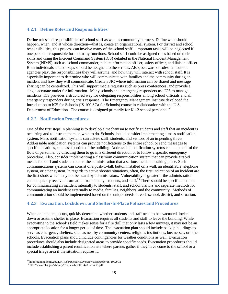### <span id="page-15-0"></span>**4.2.1 Define Roles and Responsibilities**

Define roles and responsibilities of school staff as well as community partners. Define what should happen, when, and at whose direction—that is, create an organizational system. For district and school responsibilities, this process can involve many of the school staff—important tasks will be neglected if one person is responsible for too many functions. School staff could be assigned roles based on their skills and using the Incident Command System (ICS) detailed in the National Incident Management System (NIMS) such as: school commander, public information officer, safety officer, and liaison officer. Both individuals and backups should be assigned to these roles. Also, be aware of roles that outside agencies play, the responsibilities they will assume, and how they will interact with school staff. It is especially important to determine who will communicate with families and the community during an incident and how they will communicate. Create a JIC where information can be shared and message sharing can be centralized. This will support media requests such as press conferences, and provide a single accurate outlet for information. Many schools and emergency responders use ICS to manage incidents. ICS provides a structured way for delegating responsibilities among school officials and all emergency responders during crisis response. The Emergency Management Institute developed the Introduction to ICS for Schools (IS-100.SCa for Schools) course in collaboration with the U.S. Department of Education. The course is designed primarily for K-12 school personnel.<sup>24</sup>

#### **4.2.2 Notification Procedures**

One of the first steps in planning is to develop a mechanism to notify students and staff that an incident is occurring and to instruct them on what to do. Schools should consider implementing a mass notification system. Mass notification systems can advise staff, students, and visitors of an impending threat. Addressable notification systems can provide notifications to the entire school or send messages to specific locations, such as a portion of the building. Addressable notification systems can help control the flow of personnel by directing them to go in a different direction or to follow a specific emergency procedure. Also, consider implementing a classroom communication system that can provide a rapid means for staff and students to alert the administration that a serious incident is taking place. Such communications systems can consist of a push-to-talk button installed on a wall, an identifiable telephone system, or other system. In regards to active shooter situations, often, the first indication of an incident are the first shots which may not be heard by administrators. Vulnerability is greater if the administration cannot quickly receive information from faculty, students, and staff.<sup>25</sup> There should be specific methods for communicating an incident internally to students, staff, and school visitors and separate methods for communicating an incident externally to media, families, neighbors, and the community. Methods of communication should be implemented based on the unique needs of each school, district, and situation.

### <span id="page-15-1"></span>**4.2.3 Evacuation, Lockdown, and Shelter-In-Place Policies and Procedures**

When an incident occurs, quickly determine whether students and staff need to be evacuated, locked down or assume shelter in place. Evacuation requires all students and staff to leave the building. While evacuating to the school's field makes sense for a fire drill that only lasts a few minutes, it may not be an appropriate location for a longer period of time. The evacuation plan should include backup buildings to serve as emergency shelters, such as nearby community centers, religious institutions, businesses, or other schools. Evacuation plans should include contingencies for weather conditions as well. Evacuation procedures should also include designated areas to provide specific needs. Evacuation procedures should include establishing a parent reunification site where parents gather if they have come to the school or a special triage area if the situation requires it.

<sup>24</sup> <http://training.fema.gov/EMIWeb/IS/courseOverview.aspx?code=IS-100.SCa>

<sup>2</sup>[5 http://www.dhs.gov/xlibrary/assets/st/bips07\\_428\\_schools.pdf](http://www.dhs.gov/xlibrary/assets/st/bips07_428_schools.pdf)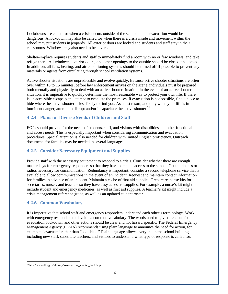Lockdowns are called for when a crisis occurs outside of the school and an evacuation would be dangerous. A lockdown may also be called for when there is a crisis inside and movement within the school may put students in jeopardy. All exterior doors are locked and students and staff stay in their classrooms. Windows may also need to be covered.

Shelter-in-place requires students and staff to immediately find a room with no or few windows, and take refuge there. All windows, exterior doors, and other openings to the outside should be closed and locked. In addition, all fans, heating, and air conditioning systems should be turned off if possible to prevent any materials or agents from circulating through school ventilation systems.

Active shooter situations are unpredictable and evolve quickly. Because active shooter situations are often over within 10 to 15 minutes, before law enforcement arrives on the scene, individuals must be prepared both mentally and physically to deal with an active shooter situation. In the event of an active shooter situation, it is imperative to quickly determine the most reasonable way to protect your own life. If there is an accessible escape path, attempt to evacuate the premises. If evacuation is not possible, find a place to hide where the active shooter is less likely to find you. As a last resort, and only when your life is in imminent danger, attempt to disrupt and/or incapacitate the active shooter.<sup>26</sup>

### <span id="page-16-0"></span>**4.2.4 Plans for Diverse Needs of Children and Staff**

EOPs should provide for the needs of students, staff, and visitors with disabilities and other functional and access needs. This is especially important when considering communication and evacuation procedures. Special attention is also needed for children with limited English proficiency. Outreach documents for families may be needed in several languages.

### <span id="page-16-1"></span>**4.2.5 Consider Necessary Equipment and Supplies**

Provide staff with the necessary equipment to respond to a crisis. Consider whether there are enough master keys for emergency responders so that they have complete access to the school. Get the phones or radios necessary for communication. Redundancy is important; consider a second telephone service that is available to allow communications in the event of an incident. Request and maintain contact information for families in advance of an incident. Maintain a cache of first aid supplies. Prepare response kits for secretaries, nurses, and teachers so they have easy access to supplies. For example, a nurse's kit might include student and emergency medicines, as well as first aid supplies. A teacher's kit might include a crisis management reference guide, as well as an updated student roster.

### <span id="page-16-2"></span>**4.2.6 Common Vocabulary**

It is imperative that school staff and emergency responders understand each other's terminology. Work with emergency responders to develop a common vocabulary. The words used to give directions for evacuation, lockdown, and other actions should be clear and not hazard specific. The Federal Emergency Management Agency (FEMA) recommends using plain language to announce the need for action, for example, "evacuate" rather than "code blue." Plain language allows everyone in the school building including new staff, substitute teachers, and visitors to understand what type of response is called for.

<sup>26</sup> [http://www.dhs.gov/xlibrary/assets/active\\_shooter\\_booklet.pdf](http://www.dhs.gov/xlibrary/assets/active_shooter_booklet.pdf)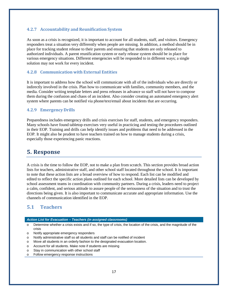### <span id="page-17-0"></span>**4.2.7 Accountability and Reunification System**

As soon as a crisis is recognized, it is important to account for all students, staff, and visitors. Emergency responders treat a situation very differently when people are missing. In addition, a method should be in place for tracking student release to their parents and ensuring that students are only released to authorized individuals. A parent reunification system or early release system should be in place for various emergency situations. Different emergencies will be responded to in different ways; a single solution may not work for every incident.

### <span id="page-17-1"></span>**4.2.8 Communication with External Entities**

It is important to address how the school will communicate with all of the individuals who are directly or indirectly involved in the crisis. Plan how to communicate with families, community members, and the media. Consider writing template letters and press releases in advance so staff will not have to compose them during the confusion and chaos of an incident. Also consider creating an automated emergency alert system where parents can be notified via phone/text/email about incidents that are occurring.

#### <span id="page-17-2"></span>**4.2.9 Emergency Drills**

Preparedness includes emergency drills and crisis exercises for staff, students, and emergency responders. Many schools have found tabletop exercises very useful in practicing and testing the procedures outlined in their EOP. Training and drills can help identify issues and problems that need to be addressed in the EOP. It might also be prudent to have teachers trained on how to manage students during a crisis, especially those experiencing panic reactions.

### <span id="page-17-3"></span>**5. Response**

A crisis is the time to follow the EOP, not to make a plan from scratch. This section provides broad action lists for teachers, administrative staff, and other school staff located throughout the school. It is important to note that these action lists are a broad overview of how to respond. Each list can be modified and edited to reflect the specific action plans outlined for each school. More detailed lists can be developed by school assessment teams in coordination with community partners. During a crisis, leaders need to project a calm, confident, and serious attitude to assure people of the seriousness of the situation and to trust the directions being given. It is also important to communicate accurate and appropriate information. Use the channels of communication identified in the EOP.

### <span id="page-17-4"></span>**5.1 Teachers**

#### *Action List for Evacuation – Teachers (in assigned classrooms)*

- o Determine whether a crisis exists and if so, the type of crisis, the location of the crisis, and the magnitude of the crisis
- o Notify appropriate emergency responders
- o Notify administrative staff so all students and staff can be notified of incident
- o Move all students in an orderly fashion to the designated evacuation location.
- o Account for all students. Make note if students are missing
- o Stay in communication with other school staff
- o Follow emergency response instructions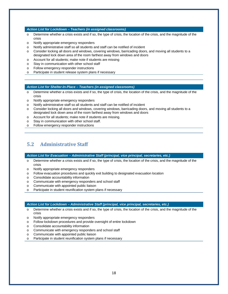#### *Action List for Lockdown – Teachers (in assigned classrooms)*

- o Determine whether a crisis exists and if so, the type of crisis, the location of the crisis, and the magnitude of the crisis
- o Notify appropriate emergency responders
- o Notify administrative staff so all students and staff can be notified of incident
- o Consider locking all doors and windows, covering windows, barricading doors, and moving all students to a designated lock down area of the room farthest away from windows and doors
- o Account for all students; make note if students are missing
- o Stay in communication with other school staff
- o Follow emergency responder instructions
- o Participate in student release system plans if necessary

#### *Action List for Shelter-In-Place – Teachers (in assigned classrooms)*

- o Determine whether a crisis exists and if so, the type of crisis, the location of the crisis, and the magnitude of the crisis
- o Notify appropriate emergency responders
- o Notify administrative staff so all students and staff can be notified of incident
- o Consider locking all doors and windows, covering windows, barricading doors, and moving all students to a designated lock down area of the room farthest away from windows and doors
- o Account for all students; make note if students are missing.
- o Stay in communication with other school staff.
- o Follow emergency responder instructions

### <span id="page-18-0"></span>**5.2 Administrative Staff**

*Action List for Evacuation – Administrative Staff (principal, vice principal, secretaries, etc.)*

- o Determine whether a crisis exists and if so, the type of crisis, the location of the crisis, and the magnitude of the crisis
- o Notify appropriate emergency responders
- o Follow evacuation procedures and quickly exit building to designated evacuation location
- o Consolidate accountability information
- o Communicate with emergency responders and school staff
- o Communicate with appointed public liaison
- o Participate in student reunification system plans if necessary

#### *Action List for Lockdown – Administrative Staff (principal, vice principal, secretaries, etc.)*

- $\circ$  Determine whether a crisis exists and if so, the type of crisis, the location of the crisis, and the magnitude of the crisis
- o Notify appropriate emergency responders
- o Follow lockdown procedures and provide oversight of entire lockdown
- o Consolidate accountability information
- o Communicate with emergency responders and school staff
- o Communicate with appointed public liaison
- o Participate in student reunification system plans if necessary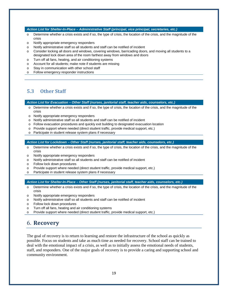#### *Action List for Shelter-In-Place – Administrative Staff (principal, vice principal, secretaries, etc.)*

- o Determine whether a crisis exists and if so, the type of crisis, the location of the crisis, and the magnitude of the crisis
- o Notify appropriate emergency responders
- o Notify administrative staff so all students and staff can be notified of incident
- o Consider locking all doors and windows, covering windows, barricading doors, and moving all students to a designated lock down area of the room farthest away from windows and doors
- o Turn off all fans, heating, and air conditioning systems
- o Account for all students; make note if students are missing
- o Stay in communication with other school staff
- o Follow emergency responder instructions

### <span id="page-19-0"></span>**5.3 Other Staff**

*Action List for Evacuation – Other Staff (nurses, janitorial staff, teacher aids, counselors, etc.)*

- $\circ$  Determine whether a crisis exists and if so, the type of crisis, the location of the crisis, and the magnitude of the crisis
- o Notify appropriate emergency responders
- o Notify administrative staff so all students and staff can be notified of incident
- o Follow evacuation procedures and quickly exit building to designated evacuation location
- o Provide support where needed (direct student traffic, provide medical support, etc.)
- o Participate in student release system plans if necessary

*Action List for Lockdown – Other Staff (nurses, janitorial staff, teacher aids, counselors, etc.)*

- $\circ$  Determine whether a crisis exists and if so, the type of crisis, the location of the crisis, and the magnitude of the crisis
- o Notify appropriate emergency responders
- o Notify administrative staff so all students and staff can be notified of incident
- o Follow lock down procedures
- o Provide support where needed (direct student traffic, provide medical support, etc.)
- o Participate in student release system plans if necessary

*Action List for Shelter-In-Place – Other Staff (nurses, janitorial staff, teacher aids, counselors, etc.)*

- $\circ$  Determine whether a crisis exists and if so, the type of crisis, the location of the crisis, and the magnitude of the crisis
- o Notify appropriate emergency responders
- o Notify administrative staff so all students and staff can be notified of incident
- o Follow lock down procedures
- o Turn off all fans, heating and air conditioning systems
- o Provide support where needed (direct student traffic, provide medical support, etc.)

## <span id="page-19-1"></span>6. **Recovery**

The goal of recovery is to return to learning and restore the infrastructure of the school as quickly as possible. Focus on students and take as much time as needed for recovery. School staff can be trained to deal with the emotional impact of a crisis, as well as to initially assess the emotional needs of students, staff, and responders. One of the major goals of recovery is to provide a caring and supporting school and community environment.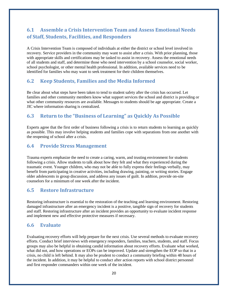# <span id="page-20-0"></span>**6.1 Assemble a Crisis Intervention Team and Assess Emotional Needs of Staff, Students, Facilities, and Responders**

A Crisis Intervention Team is composed of individuals at either the district or school level involved in recovery. Service providers in the community may want to assist after a crisis. With prior planning, those with appropriate skills and certifications may be tasked to assist in recovery. Assess the emotional needs of all students and staff, and determine those who need intervention by a school counselor, social worker, school psychologist, or other mental health professional. In addition, available services need to be identified for families who may want to seek treatment for their children themselves.

### <span id="page-20-1"></span>**6.2 Keep Students, Families and the Media Informed**

Be clear about what steps have been taken to tend to student safety after the crisis has occurred. Let families and other community members know what support services the school and district is providing or what other community resources are available. Messages to students should be age appropriate. Create a JIC where information sharing is centralized.

### <span id="page-20-2"></span>**6.3 Return to the "Business of Learning" as Quickly As Possible**

Experts agree that the first order of business following a crisis is to return students to learning as quickly as possible. This may involve helping students and families cope with separations from one another with the reopening of school after a crisis.

### <span id="page-20-3"></span>**6.4 Provide Stress Management**

Trauma experts emphasize the need to create a caring, warm, and trusting environment for students following a crisis. Allow students to talk about how they felt and what they experienced during the traumatic event. Younger children, who may not be able to fully express their feelings verbally, may benefit from participating in creative activities, including drawing, painting, or writing stories. Engage older adolescents in group discussion, and address any issues of guilt. In addtion, provide on-site counselors for a minimum of one week after the incident.

### <span id="page-20-4"></span>**6.5 Restore Infrastructure**

Restoring infrastructure is essential to the restoration of the teaching and learning environment. Restoring damaged infrastructure after an emergency incident is a positive, tangible sign of recovery for students and staff. Restoring infrastructure after an incident provides an opportunity to evaluate incident response and implement new and effective protective measures if necessary.

### <span id="page-20-5"></span>**6.6 Evaluate**

Evaluating recovery efforts will help prepare for the next crisis. Use several methods to evaluate recovery efforts. Conduct brief interviews with emergency responders, families, teachers, students, and staff. Focus groups may also be helpful in obtaining candid information about recovery efforts. Evaluate what worked, what did not, and how operations or EOPs can be improved. Update and strengthen the EOP so that in a crisis, no child is left behind. It may also be prudent to conduct a community briefing within 48 hours of the incident. In addition, it may be helpful to conduct after action reports with school district personnel and first responder commanders within one week of the incident.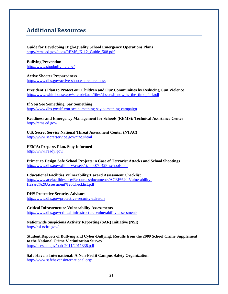# **AdditionalResources**

#### **Guide for Developing High-Quality School Emergency Operations Plans** [http://rems.ed.gov/docs/REMS\\_K-12\\_Guide\\_508.pdf](http://rems.ed.gov/docs/REMS_K-12_Guide_508.pdf)

**Bullying Prevention** <http://www.stopbullying.gov/>

**Active Shooter Preparedness** <http://www.dhs.gov/active-shooter-preparedness>

**President's Plan to Protect our Children and Our Communities by Reducing Gun Violence** [http://www.whitehouse.gov/sites/default/files/docs/wh\\_now\\_is\\_the\\_time\\_full.pdf](http://www.whitehouse.gov/sites/default/files/docs/wh_now_is_the_time_full.pdf)

**If You See Something, Say Something** <http://www.dhs.gov/if-you-see-something-say-something-campaign>

**Readiness and Emergency Management for Schools (REMS): Technical Assistance Center** <http://rems.ed.gov/>

**U.S. Secret Service National Threat Assessment Center (NTAC)** <http://www.secretservice.gov/ntac.shtml>

**FEMA: Prepare. Plan. Stay Informed** <http://www.ready.gov/>

**Primer to Design Safe School Projects in Case of Terrorist Attacks and School Shootings** [http://www.dhs.gov/xlibrary/assets/st/bips07\\_428\\_schools.pdf](http://www.dhs.gov/xlibrary/assets/st/bips07_428_schools.pdf)

**Educational Facilities Vulnerability/Hazard Assessment Checklist** [http://www.acefacilities.org/Resources/documents/ACEF%20-Vulnerability-](http://www.acefacilities.org/Resources/documents/ACEF%20-Vulnerability-Hazard%20Assessment%20Checklist.pdf)[Hazard%20Assessment%20Checklist.pdf](http://www.acefacilities.org/Resources/documents/ACEF%20-Vulnerability-Hazard%20Assessment%20Checklist.pdf)

**DHS Protective Security Advisors** <http://www.dhs.gov/protective-security-advisors>

**Critical Infrastructure Vulnerability Assessments** <http://www.dhs.gov/critical-infrastructure-vulnerability-assessments>

**Nationwide Suspicious Activity Reporting (SAR) Initiative (NSI)** <http://nsi.ncirc.gov/>

**Student Reports of Bullying and Cyber-Bullying: Results from the 2009 School Crime Supplement to the National Crime Victimization Survey** <http://nces.ed.gov/pubs2011/2011336.pdf>

**Safe Havens International: A Non-Profit Campus Safety Organization** <http://www.safehavensinternational.org/>